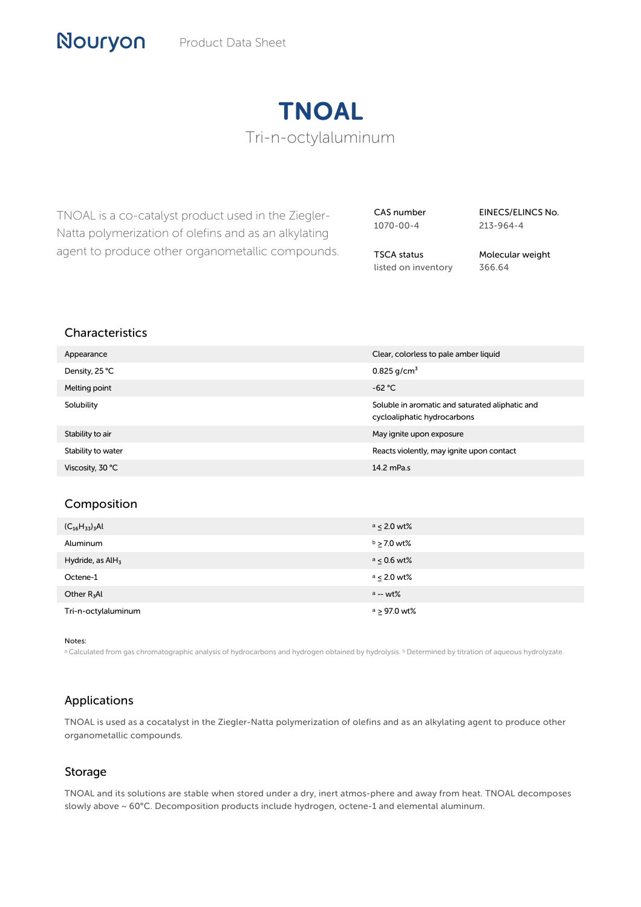# TNOAL Tri-n-octylaluminum

TNOAL is a co-catalyst product used in the Ziegler-Natta polymerization of olefins and as an alkylating agent to produce other organometallic compounds. CAS number 1070-00-4

EINECS/ELINCS No. 213-964-4

TSCA status listed on inventory Molecular weight 366.64

## Characteristics

| Appearance         | Clear, colorless to pale amber liquid                                          |
|--------------------|--------------------------------------------------------------------------------|
| Density, 25 °C     | $0.825$ g/cm <sup>3</sup>                                                      |
| Melting point      | $-62 °C$                                                                       |
| Solubility         | Soluble in aromatic and saturated aliphatic and<br>cycloaliphatic hydrocarbons |
| Stability to air   | May ignite upon exposure                                                       |
| Stability to water | Reacts violently, may ignite upon contact                                      |
| Viscosity, 30 °C   | 14.2 mPa.s                                                                     |

#### Composition

| $(C_{16}H_{33})_3$ Al | $a \leq 2.0$ wt% |
|-----------------------|------------------|
| Aluminum              | $b > 7.0$ wt%    |
| Hydride, as $AH3$     | $a \leq 0.6$ wt% |
| Octene-1              | $a < 2.0$ wt%    |
| Other $R_3$ Al        | $a - wt\%$       |
| Tri-n-octylaluminum   | $a > 97.0$ wt%   |

Notes:

a Calculated from gas chromatographic analysis of hydrocarbons and hydrogen obtained by hydrolysis. <sup>b</sup> Determined by titration of aqueous hydrolyzate.

# Applications

TNOAL is used as a cocatalyst in the Ziegler-Natta polymerization of olefins and as an alkylating agent to produce other organometallic compounds.

#### Storage

TNOAL and its solutions are stable when stored under a dry, inert atmos-phere and away from heat. TNOAL decomposes slowly above ~ 60°C. Decomposition products include hydrogen, octene-1 and elemental aluminum.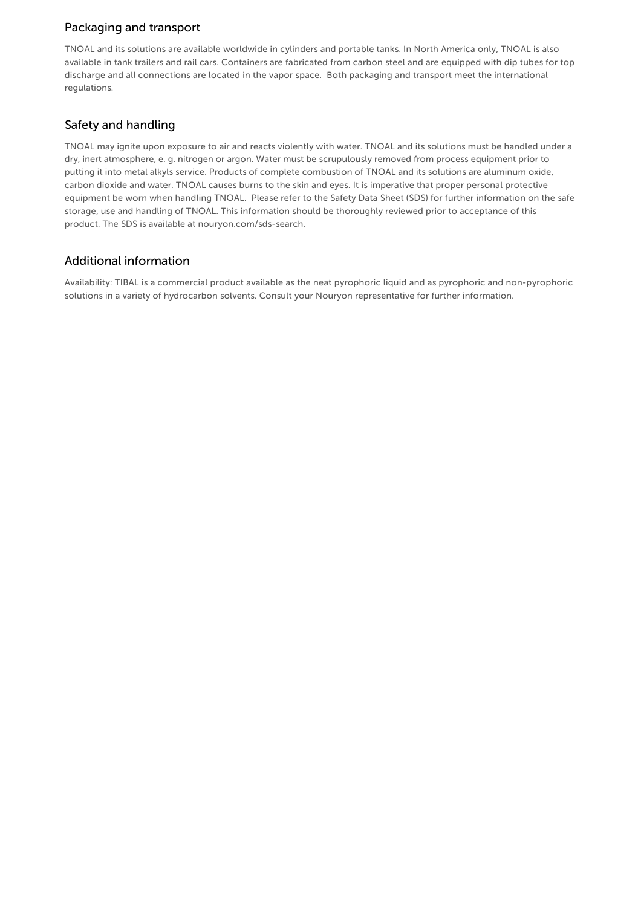## Packaging and transport

TNOAL and its solutions are available worldwide in cylinders and portable tanks. In North America only, TNOAL is also available in tank trailers and rail cars. Containers are fabricated from carbon steel and are equipped with dip tubes for top discharge and all connections are located in the vapor space. Both packaging and transport meet the international regulations.

# Safety and handling

TNOAL may ignite upon exposure to air and reacts violently with water. TNOAL and its solutions must be handled under a dry, inert atmosphere, e. g. nitrogen or argon. Water must be scrupulously removed from process equipment prior to putting it into metal alkyls service. Products of complete combustion of TNOAL and its solutions are aluminum oxide, carbon dioxide and water. TNOAL causes burns to the skin and eyes. It is imperative that proper personal protective equipment be worn when handling TNOAL. Please refer to the Safety Data Sheet (SDS) for further information on the safe storage, use and handling of TNOAL. This information should be thoroughly reviewed prior to acceptance of this product. The SDS is available at nouryon.com/sds-search.

#### Additional information

Availability: TIBAL is a commercial product available as the neat pyrophoric liquid and as pyrophoric and non-pyrophoric solutions in a variety of hydrocarbon solvents. Consult your Nouryon representative for further information.